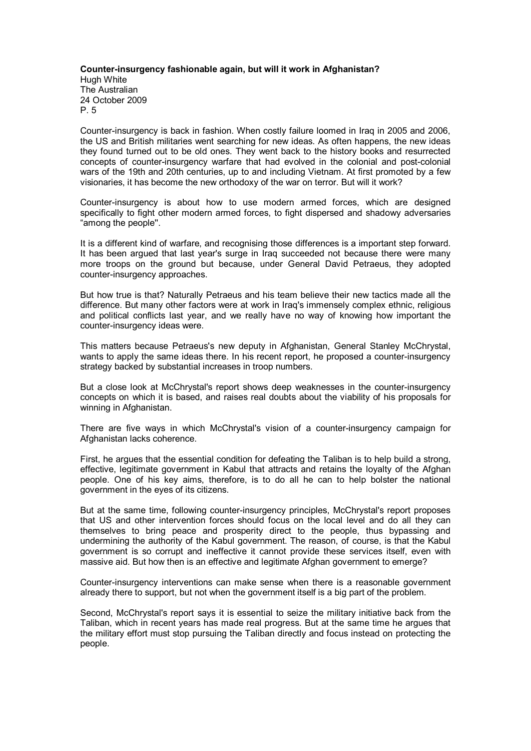## **Counterinsurgency fashionable again, but will it work in Afghanistan?** Hugh White The Australian 24 October 2009 P. 5

Counter-insurgency is back in fashion. When costly failure loomed in Iraq in 2005 and 2006. the US and British militaries went searching for new ideas. As often happens, the new ideas they found turned out to be old ones. They went back to the history books and resurrected concepts of counter-insurgency warfare that had evolved in the colonial and post-colonial wars of the 19th and 20th centuries, up to and including Vietnam. At first promoted by a few visionaries, it has become the new orthodoxy of the war on terror. But will it work?

Counterinsurgency is about how to use modern armed forces, which are designed specifically to fight other modern armed forces, to fight dispersed and shadowy adversaries "among the people''.

It is a different kind of warfare, and recognising those differences is a important step forward. It has been argued that last year's surge in Iraq succeeded not because there were many more troops on the ground but because, under General David Petraeus, they adopted counter-insurgency approaches.

But how true is that? Naturally Petraeus and his team believe their new tactics made all the difference. But many other factors were at work in Iraq's immensely complex ethnic, religious and political conflicts last year, and we really have no way of knowing how important the counter-insurgency ideas were.

This matters because Petraeus's new deputy in Afghanistan, General Stanley McChrystal, wants to apply the same ideas there. In his recent report, he proposed a counter-insurgency strategy backed by substantial increases in troop numbers.

But a close look at McChrystal's report shows deep weaknesses in the counterinsurgency concepts on which itis based, and raises real doubts about the viability of his proposals for winning in Afghanistan.

There are five ways in which McChrystal's vision of a counterinsurgency campaign for Afghanistan lacks coherence.

First, he argues that the essential condition for defeating the Taliban is to help build a strong, effective, legitimate government in Kabul that attracts and retains the loyalty of the Afghan people. One of his key aims, therefore, is to do all he can to help bolster the national government in the eyes of its citizens.

But at the same time, following counter-insurgency principles, McChrystal's report proposes that US and other intervention forces should focus on the local level and do all they can themselves to bring peace and prosperity direct to the people, thus bypassing and undermining the authority of the Kabul government. The reason, of course, is that the Kabul government is so corrupt and ineffective it cannot provide these services itself, even with massive aid. But how then is an effective and legitimate Afghan government to emerge?

Counterinsurgency interventions can make sense when there is a reasonable government already there to support, but not when the government itself is a big part of the problem.

Second, McChrystal's report says it is essential to seize the military initiative back from the Taliban, which in recent years has made real progress. But at the same time he argues that the military effort must stop pursuing the Taliban directly and focus instead on protecting the people.